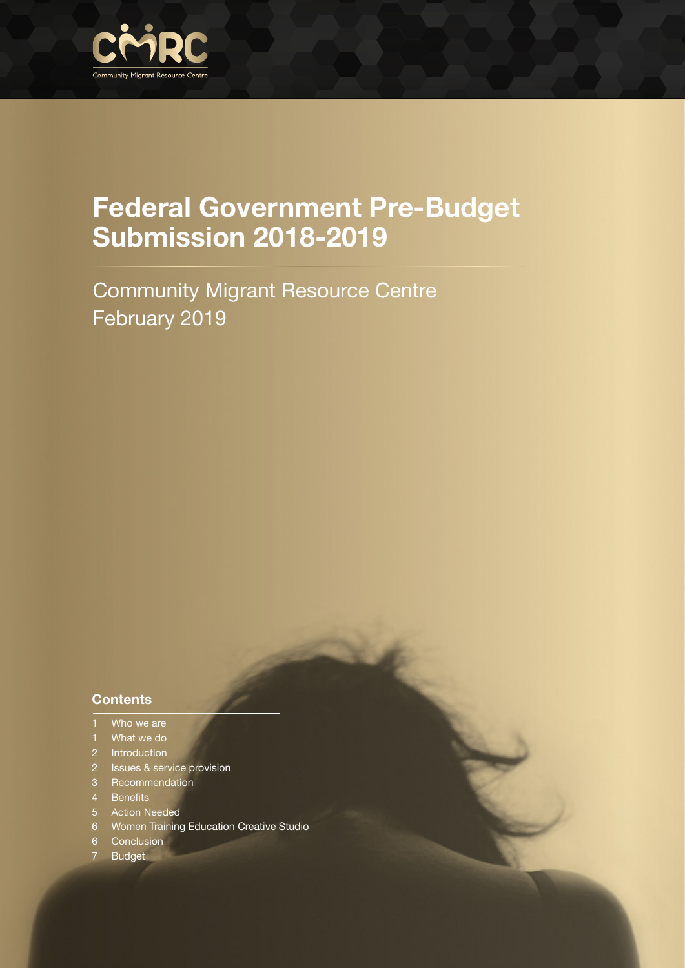

Community Migrant Resource Centre February 2019

#### **Contents**

- 1 Who we are
- 1 What we do
- 2 Introduction
- 2 Issues & service provision
- 3 Recommendation
- 4 Benefits
- 5 Action Needed
- 6 Women Training Education Creative Studio
- 6 Conclusion
- 7 Budget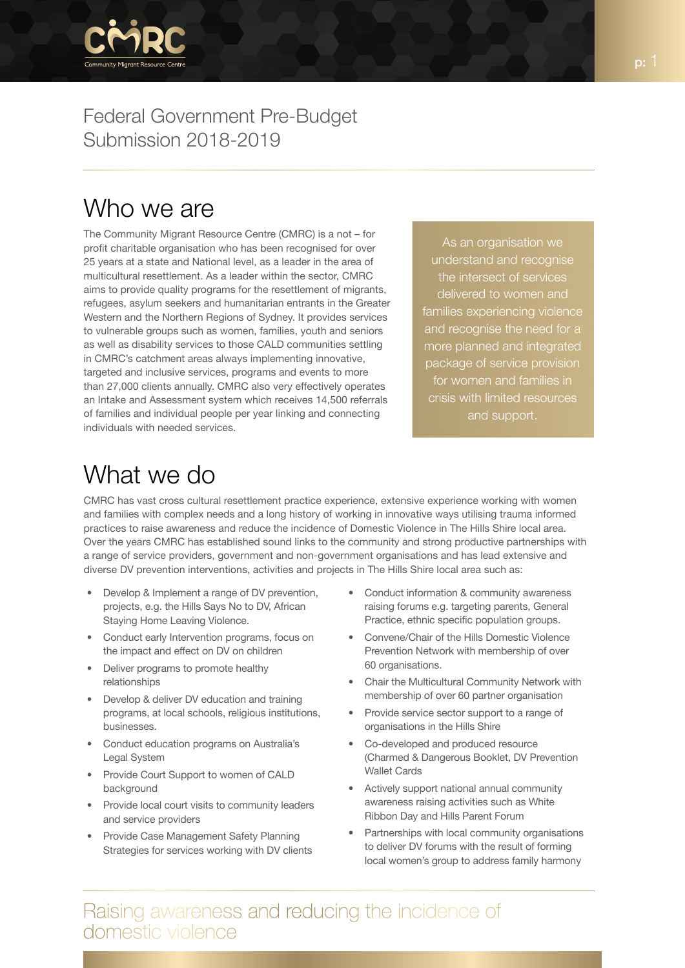

## Who we are

The Community Migrant Resource Centre (CMRC) is a not – for profit charitable organisation who has been recognised for over 25 years at a state and National level, as a leader in the area of multicultural resettlement. As a leader within the sector, CMRC aims to provide quality programs for the resettlement of migrants, refugees, asylum seekers and humanitarian entrants in the Greater Western and the Northern Regions of Sydney. It provides services to vulnerable groups such as women, families, youth and seniors as well as disability services to those CALD communities settling in CMRC's catchment areas always implementing innovative, targeted and inclusive services, programs and events to more than 27,000 clients annually. CMRC also very effectively operates an Intake and Assessment system which receives 14,500 referrals of families and individual people per year linking and connecting individuals with needed services.

As an organisation we understand and recognise the intersect of services delivered to women and families experiencing violence and recognise the need for a more planned and integrated package of service provision for women and families in crisis with limited resources and support.

## What we do

CMRC has vast cross cultural resettlement practice experience, extensive experience working with women and families with complex needs and a long history of working in innovative ways utilising trauma informed practices to raise awareness and reduce the incidence of Domestic Violence in The Hills Shire local area. Over the years CMRC has established sound links to the community and strong productive partnerships with a range of service providers, government and non-government organisations and has lead extensive and diverse DV prevention interventions, activities and projects in The Hills Shire local area such as:

- Develop & Implement a range of DV prevention, projects, e.g. the Hills Says No to DV, African Staying Home Leaving Violence.
- Conduct early Intervention programs, focus on the impact and effect on DV on children
- Deliver programs to promote healthy relationships
- Develop & deliver DV education and training programs, at local schools, religious institutions, businesses.
- Conduct education programs on Australia's Legal System
- Provide Court Support to women of CALD background
- Provide local court visits to community leaders and service providers
- Provide Case Management Safety Planning Strategies for services working with DV clients
- Conduct information & community awareness raising forums e.g. targeting parents, General Practice, ethnic specific population groups.
- Convene/Chair of the Hills Domestic Violence Prevention Network with membership of over 60 organisations.
- Chair the Multicultural Community Network with membership of over 60 partner organisation
- Provide service sector support to a range of organisations in the Hills Shire
- Co-developed and produced resource (Charmed & Dangerous Booklet, DV Prevention Wallet Cards
- Actively support national annual community awareness raising activities such as White Ribbon Day and Hills Parent Forum
- Partnerships with local community organisations to deliver DV forums with the result of forming local women's group to address family harmony

Raising awareness and reducing the incidence of domestic violence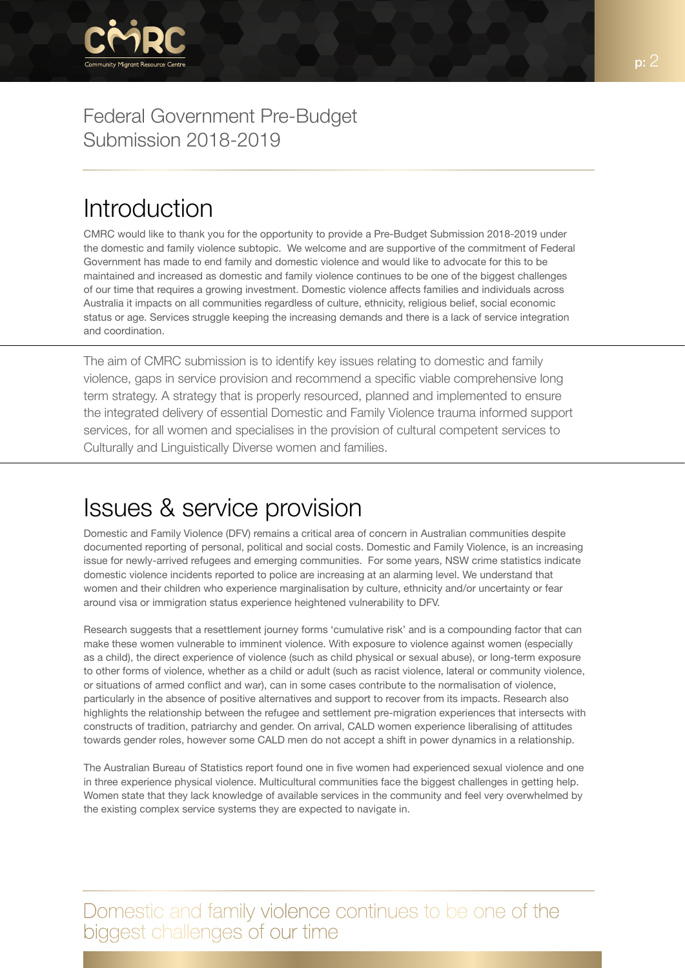

## Introduction

CMRC would like to thank you for the opportunity to provide a Pre-Budget Submission 2018-2019 under the domestic and family violence subtopic. We welcome and are supportive of the commitment of Federal Government has made to end family and domestic violence and would like to advocate for this to be maintained and increased as domestic and family violence continues to be one of the biggest challenges of our time that requires a growing investment. Domestic violence affects families and individuals across Australia it impacts on all communities regardless of culture, ethnicity, religious belief, social economic status or age. Services struggle keeping the increasing demands and there is a lack of service integration and coordination.

The aim of CMRC submission is to identify key issues relating to domestic and family violence, gaps in service provision and recommend a specific viable comprehensive long term strategy. A strategy that is properly resourced, planned and implemented to ensure the integrated delivery of essential Domestic and Family Violence trauma informed support services, for all women and specialises in the provision of cultural competent services to Culturally and Linguistically Diverse women and families.

# Issues & service provision

Domestic and Family Violence (DFV) remains a critical area of concern in Australian communities despite documented reporting of personal, political and social costs. Domestic and Family Violence, is an increasing issue for newly-arrived refugees and emerging communities. For some years, NSW crime statistics indicate domestic violence incidents reported to police are increasing at an alarming level. We understand that women and their children who experience marginalisation by culture, ethnicity and/or uncertainty or fear around visa or immigration status experience heightened vulnerability to DFV.

Research suggests that a resettlement journey forms 'cumulative risk' and is a compounding factor that can make these women vulnerable to imminent violence. With exposure to violence against women (especially as a child), the direct experience of violence (such as child physical or sexual abuse), or long-term exposure to other forms of violence, whether as a child or adult (such as racist violence, lateral or community violence, or situations of armed conflict and war), can in some cases contribute to the normalisation of violence, particularly in the absence of positive alternatives and support to recover from its impacts. Research also highlights the relationship between the refugee and settlement pre-migration experiences that intersects with constructs of tradition, patriarchy and gender. On arrival, CALD women experience liberalising of attitudes towards gender roles, however some CALD men do not accept a shift in power dynamics in a relationship.

The Australian Bureau of Statistics report found one in five women had experienced sexual violence and one in three experience physical violence. Multicultural communities face the biggest challenges in getting help. Women state that they lack knowledge of available services in the community and feel very overwhelmed by the existing complex service systems they are expected to navigate in.

Domestic and family violence continues to be one of the biggest challenges of our time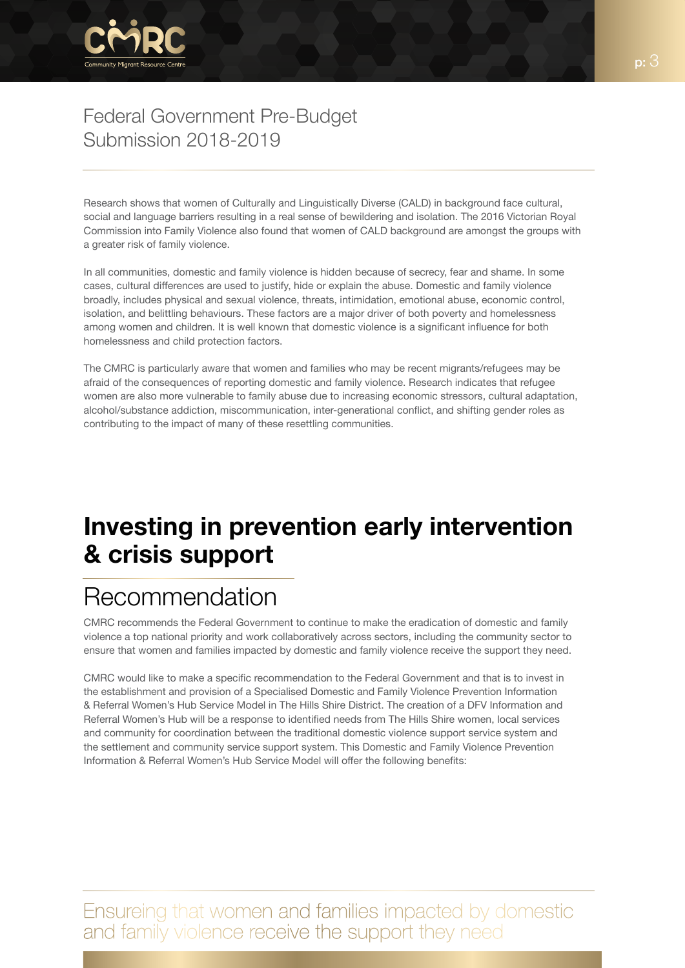

Research shows that women of Culturally and Linguistically Diverse (CALD) in background face cultural, social and language barriers resulting in a real sense of bewildering and isolation. The 2016 Victorian Royal Commission into Family Violence also found that women of CALD background are amongst the groups with a greater risk of family violence.

In all communities, domestic and family violence is hidden because of secrecy, fear and shame. In some cases, cultural differences are used to justify, hide or explain the abuse. Domestic and family violence broadly, includes physical and sexual violence, threats, intimidation, emotional abuse, economic control, isolation, and belittling behaviours. These factors are a major driver of both poverty and homelessness among women and children. It is well known that domestic violence is a significant influence for both homelessness and child protection factors.

The CMRC is particularly aware that women and families who may be recent migrants/refugees may be afraid of the consequences of reporting domestic and family violence. Research indicates that refugee women are also more vulnerable to family abuse due to increasing economic stressors, cultural adaptation, alcohol/substance addiction, miscommunication, inter-generational conflict, and shifting gender roles as contributing to the impact of many of these resettling communities.

# Investing in prevention early intervention & crisis support

# Recommendation

CMRC recommends the Federal Government to continue to make the eradication of domestic and family violence a top national priority and work collaboratively across sectors, including the community sector to ensure that women and families impacted by domestic and family violence receive the support they need.

CMRC would like to make a specific recommendation to the Federal Government and that is to invest in the establishment and provision of a Specialised Domestic and Family Violence Prevention Information & Referral Women's Hub Service Model in The Hills Shire District. The creation of a DFV Information and Referral Women's Hub will be a response to identified needs from The Hills Shire women, local services and community for coordination between the traditional domestic violence support service system and the settlement and community service support system. This Domestic and Family Violence Prevention Information & Referral Women's Hub Service Model will offer the following benefits:

Ensureing that women and families impacted by domestic and family violence receive the support they need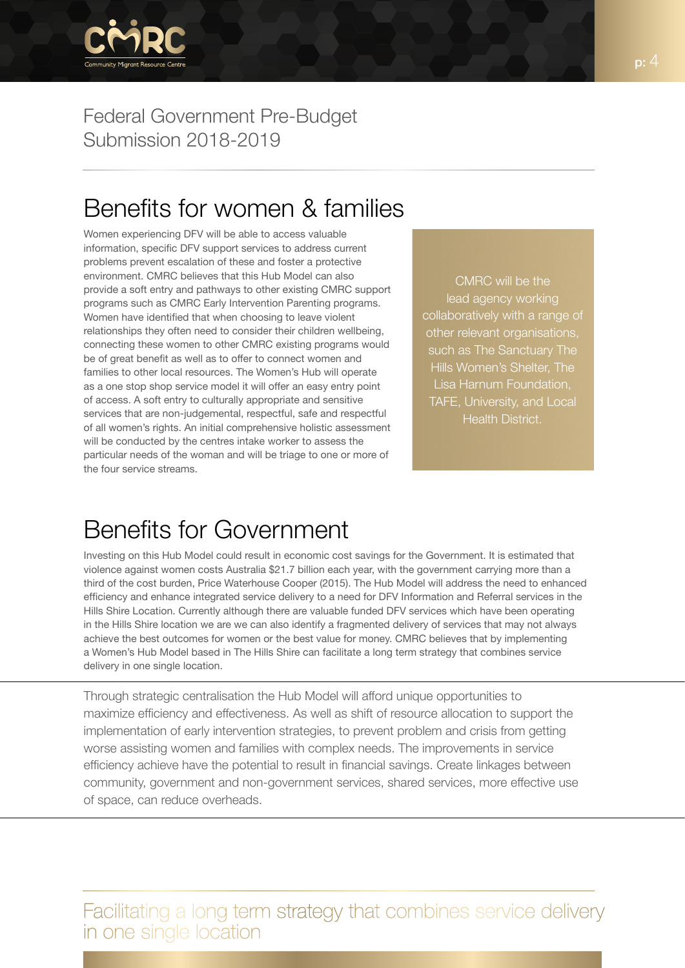

## Benefits for women & families

Women experiencing DFV will be able to access valuable information, specific DFV support services to address current problems prevent escalation of these and foster a protective environment. CMRC believes that this Hub Model can also provide a soft entry and pathways to other existing CMRC support programs such as CMRC Early Intervention Parenting programs. Women have identified that when choosing to leave violent relationships they often need to consider their children wellbeing, connecting these women to other CMRC existing programs would be of great benefit as well as to offer to connect women and families to other local resources. The Women's Hub will operate as a one stop shop service model it will offer an easy entry point of access. A soft entry to culturally appropriate and sensitive services that are non-judgemental, respectful, safe and respectful of all women's rights. An initial comprehensive holistic assessment will be conducted by the centres intake worker to assess the particular needs of the woman and will be triage to one or more of the four service streams.

CMRC will be the lead agency working collaboratively with a range of other relevant organisations, such as The Sanctuary The Hills Women's Shelter, The Lisa Harnum Foundation, TAFE, University, and Local Health District.

## Benefits for Government

Investing on this Hub Model could result in economic cost savings for the Government. It is estimated that violence against women costs Australia \$21.7 billion each year, with the government carrying more than a third of the cost burden, Price Waterhouse Cooper (2015). The Hub Model will address the need to enhanced efficiency and enhance integrated service delivery to a need for DFV Information and Referral services in the Hills Shire Location. Currently although there are valuable funded DFV services which have been operating in the Hills Shire location we are we can also identify a fragmented delivery of services that may not always achieve the best outcomes for women or the best value for money. CMRC believes that by implementing a Women's Hub Model based in The Hills Shire can facilitate a long term strategy that combines service delivery in one single location.

Through strategic centralisation the Hub Model will afford unique opportunities to maximize efficiency and effectiveness. As well as shift of resource allocation to support the implementation of early intervention strategies, to prevent problem and crisis from getting worse assisting women and families with complex needs. The improvements in service efficiency achieve have the potential to result in financial savings. Create linkages between community, government and non-government services, shared services, more effective use of space, can reduce overheads.

Facilitating a long term strategy that combines service delivery in one single location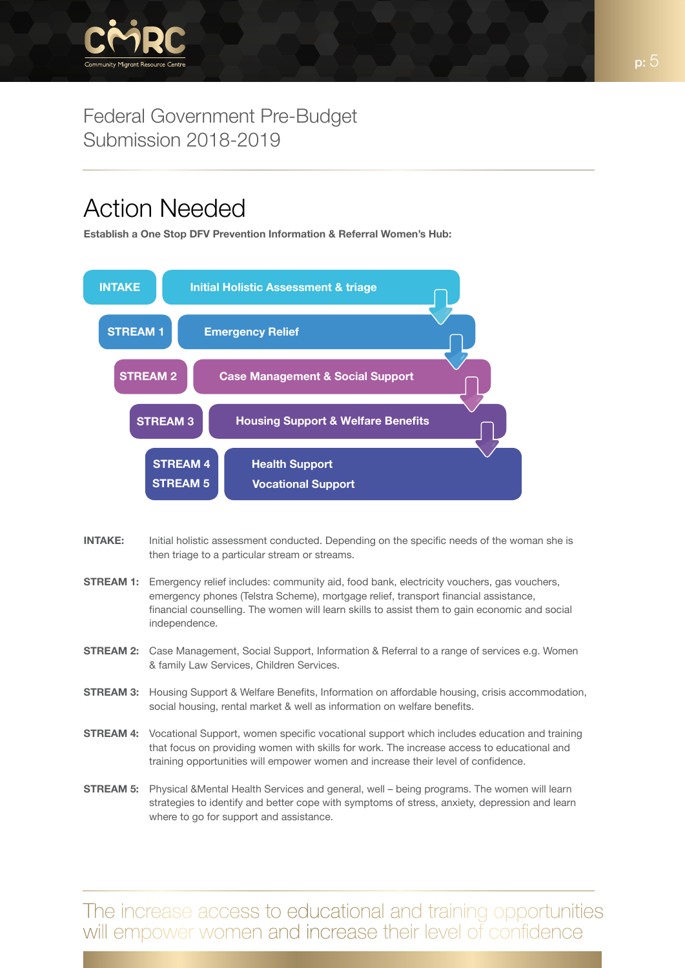

# Action Needed

Establish a One Stop DFV Prevention Information & Referral Women's Hub:



- **INTAKE:** Initial holistic assessment conducted. Depending on the specific needs of the woman she is then triage to a particular stream or streams.
- **STREAM 1:** Emergency relief includes: community aid, food bank, electricity vouchers, gas vouchers, emergency phones (Telstra Scheme), mortgage relief, transport financial assistance, financial counselling. The women will learn skills to assist them to gain economic and social independence.
- STREAM 2: Case Management, Social Support, Information & Referral to a range of services e.g. Women & family Law Services, Children Services.
- STREAM 3: Housing Support & Welfare Benefits, Information on affordable housing, crisis accommodation, social housing, rental market & well as information on welfare benefits.
- **STREAM 4:** Vocational Support, women specific vocational support which includes education and training that focus on providing women with skills for work. The increase access to educational and training opportunities will empower women and increase their level of confidence.
- STREAM 5: Physical &Mental Health Services and general, well being programs. The women will learn strategies to identify and better cope with symptoms of stress, anxiety, depression and learn where to go for support and assistance.

The increase access to educational and training opportunities will empower women and increase their level of confidence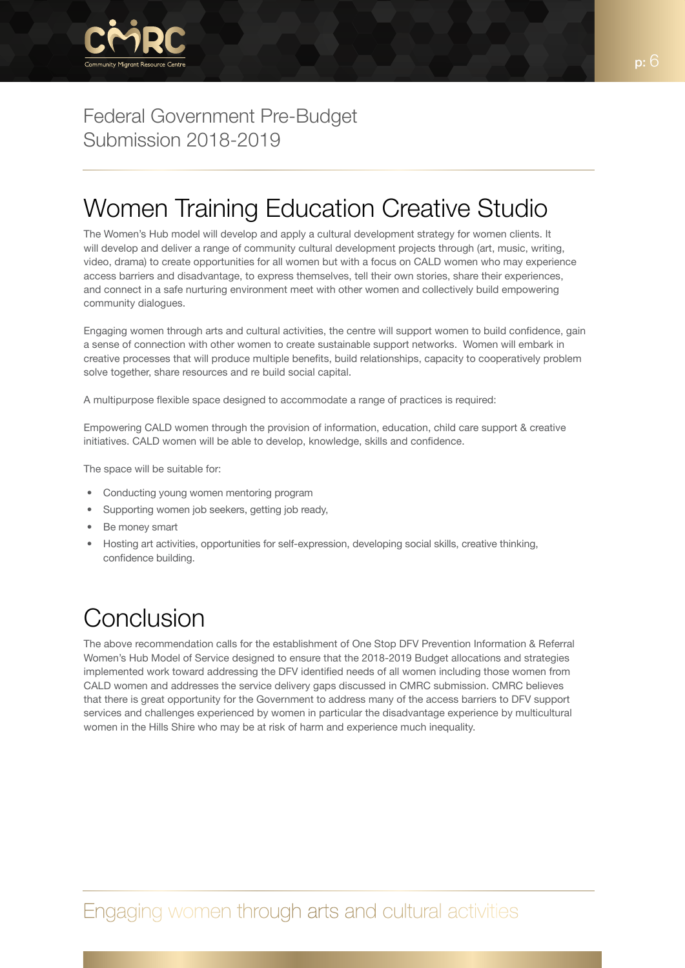

## Women Training Education Creative Studio

The Women's Hub model will develop and apply a cultural development strategy for women clients. It will develop and deliver a range of community cultural development projects through (art, music, writing, video, drama) to create opportunities for all women but with a focus on CALD women who may experience access barriers and disadvantage, to express themselves, tell their own stories, share their experiences, and connect in a safe nurturing environment meet with other women and collectively build empowering community dialogues.

Engaging women through arts and cultural activities, the centre will support women to build confidence, gain a sense of connection with other women to create sustainable support networks. Women will embark in creative processes that will produce multiple benefits, build relationships, capacity to cooperatively problem solve together, share resources and re build social capital.

A multipurpose flexible space designed to accommodate a range of practices is required:

Empowering CALD women through the provision of information, education, child care support & creative initiatives. CALD women will be able to develop, knowledge, skills and confidence.

The space will be suitable for:

- Conducting young women mentoring program
- Supporting women job seekers, getting job ready,
- Be money smart
- Hosting art activities, opportunities for self-expression, developing social skills, creative thinking, confidence building.

# Conclusion

The above recommendation calls for the establishment of One Stop DFV Prevention Information & Referral Women's Hub Model of Service designed to ensure that the 2018-2019 Budget allocations and strategies implemented work toward addressing the DFV identified needs of all women including those women from CALD women and addresses the service delivery gaps discussed in CMRC submission. CMRC believes that there is great opportunity for the Government to address many of the access barriers to DFV support services and challenges experienced by women in particular the disadvantage experience by multicultural women in the Hills Shire who may be at risk of harm and experience much inequality.